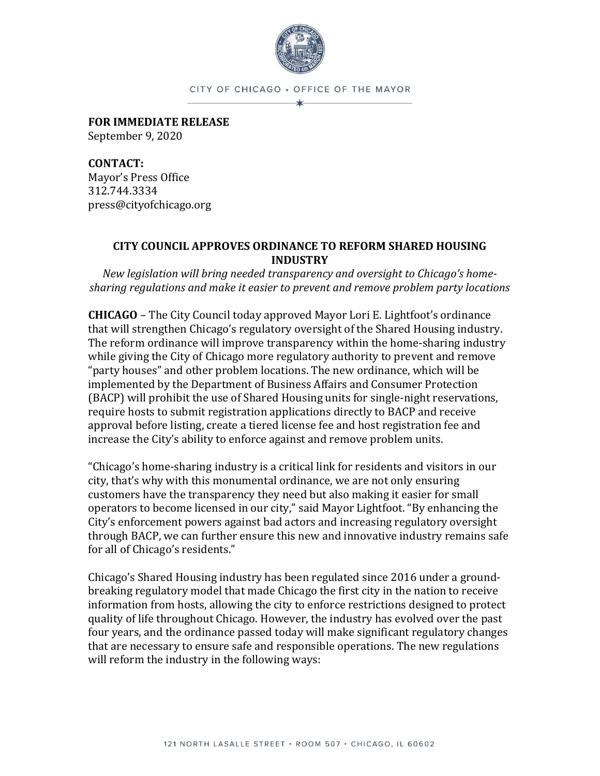

CITY OF CHICAGO . OFFICE OF THE MAYOR ∗

**FOR IMMEDIATE RELEASE** September 9, 2020

**CONTACT:**  Mayor's Press Office 312.744.3334 press@cityofchicago.org

## **CITY COUNCIL APPROVES ORDINANCE TO REFORM SHARED HOUSING INDUSTRY**

*New legislation will bring needed transparency and oversight to Chicago's homesharing regulations and make it easier to prevent and remove problem party locations*

**CHICAGO** – The City Council today approved Mayor Lori E. Lightfoot's ordinance that will strengthen Chicago's regulatory oversight of the Shared Housing industry. The reform ordinance will improve transparency within the home-sharing industry while giving the City of Chicago more regulatory authority to prevent and remove "party houses" and other problem locations. The new ordinance, which will be implemented by the Department of Business Affairs and Consumer Protection (BACP) will prohibit the use of Shared Housing units for single-night reservations, require hosts to submit registration applications directly to BACP and receive approval before listing, create a tiered license fee and host registration fee and increase the City's ability to enforce against and remove problem units.

"Chicago's home-sharing industry is a critical link for residents and visitors in our city, that's why with this monumental ordinance, we are not only ensuring customers have the transparency they need but also making it easier for small operators to become licensed in our city," said Mayor Lightfoot. "By enhancing the City's enforcement powers against bad actors and increasing regulatory oversight through BACP, we can further ensure this new and innovative industry remains safe for all of Chicago's residents."

Chicago's Shared Housing industry has been regulated since 2016 under a groundbreaking regulatory model that made Chicago the first city in the nation to receive information from hosts, allowing the city to enforce restrictions designed to protect quality of life throughout Chicago. However, the industry has evolved over the past four years, and the ordinance passed today will make significant regulatory changes that are necessary to ensure safe and responsible operations. The new regulations will reform the industry in the following ways: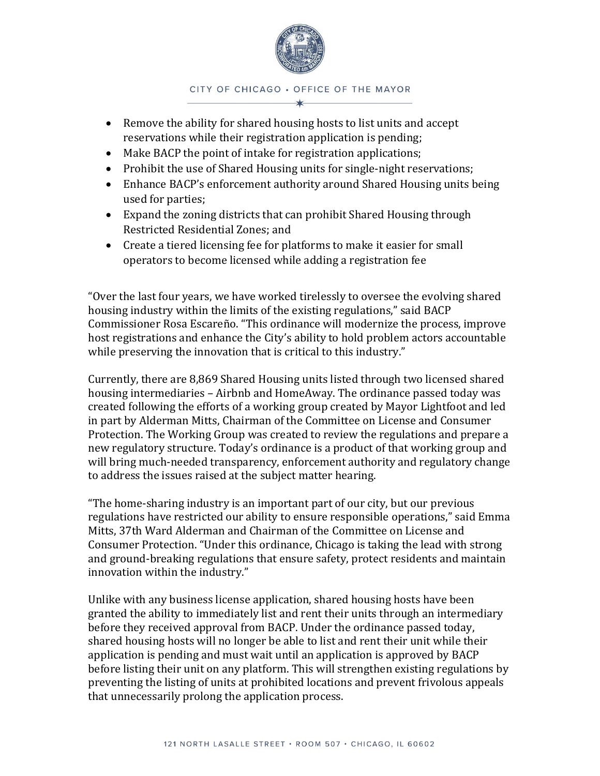

CITY OF CHICAGO . OFFICE OF THE MAYOR

- Remove the ability for shared housing hosts to list units and accept reservations while their registration application is pending;
- Make BACP the point of intake for registration applications;
- Prohibit the use of Shared Housing units for single-night reservations;
- Enhance BACP's enforcement authority around Shared Housing units being used for parties;
- Expand the zoning districts that can prohibit Shared Housing through Restricted Residential Zones; and
- Create a tiered licensing fee for platforms to make it easier for small operators to become licensed while adding a registration fee

"Over the last four years, we have worked tirelessly to oversee the evolving shared housing industry within the limits of the existing regulations," said BACP Commissioner Rosa Escareño. "This ordinance will modernize the process, improve host registrations and enhance the City's ability to hold problem actors accountable while preserving the innovation that is critical to this industry."

Currently, there are 8,869 Shared Housing units listed through two licensed shared housing intermediaries – Airbnb and HomeAway. The ordinance passed today was created following the efforts of a working group created by Mayor Lightfoot and led in part by Alderman Mitts, Chairman of the Committee on License and Consumer Protection. The Working Group was created to review the regulations and prepare a new regulatory structure. Today's ordinance is a product of that working group and will bring much-needed transparency, enforcement authority and regulatory change to address the issues raised at the subject matter hearing.

"The home-sharing industry is an important part of our city, but our previous regulations have restricted our ability to ensure responsible operations," said Emma Mitts, 37th Ward Alderman and Chairman of the Committee on License and Consumer Protection. "Under this ordinance, Chicago is taking the lead with strong and ground-breaking regulations that ensure safety, protect residents and maintain innovation within the industry."

Unlike with any business license application, shared housing hosts have been granted the ability to immediately list and rent their units through an intermediary before they received approval from BACP. Under the ordinance passed today, shared housing hosts will no longer be able to list and rent their unit while their application is pending and must wait until an application is approved by BACP before listing their unit on any platform. This will strengthen existing regulations by preventing the listing of units at prohibited locations and prevent frivolous appeals that unnecessarily prolong the application process.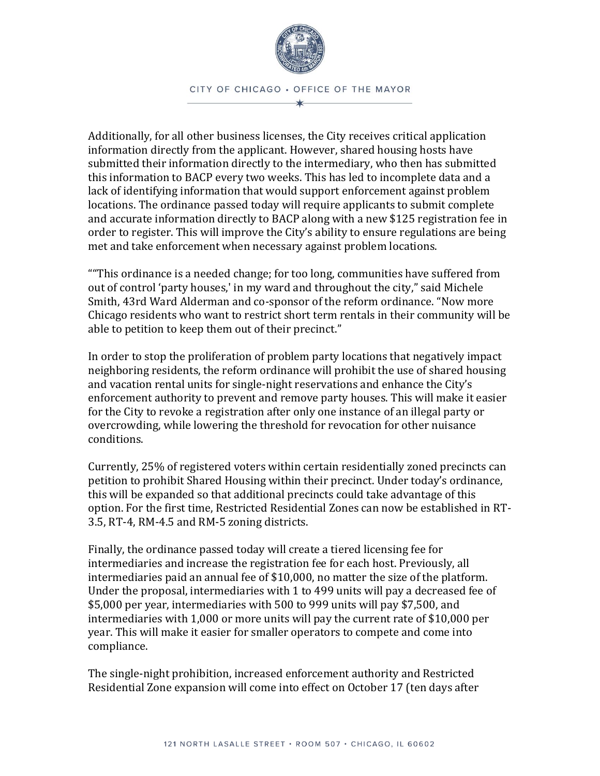

Additionally, for all other business licenses, the City receives critical application information directly from the applicant. However, shared housing hosts have submitted their information directly to the intermediary, who then has submitted this information to BACP every two weeks. This has led to incomplete data and a lack of identifying information that would support enforcement against problem locations. The ordinance passed today will require applicants to submit complete and accurate information directly to BACP along with a new \$125 registration fee in order to register. This will improve the City's ability to ensure regulations are being met and take enforcement when necessary against problem locations.

""This ordinance is a needed change; for too long, communities have suffered from out of control 'party houses,' in my ward and throughout the city," said Michele Smith, 43rd Ward Alderman and co-sponsor of the reform ordinance. "Now more Chicago residents who want to restrict short term rentals in their community will be able to petition to keep them out of their precinct."

In order to stop the proliferation of problem party locations that negatively impact neighboring residents, the reform ordinance will prohibit the use of shared housing and vacation rental units for single-night reservations and enhance the City's enforcement authority to prevent and remove party houses. This will make it easier for the City to revoke a registration after only one instance of an illegal party or overcrowding, while lowering the threshold for revocation for other nuisance conditions.

Currently, 25% of registered voters within certain residentially zoned precincts can petition to prohibit Shared Housing within their precinct. Under today's ordinance, this will be expanded so that additional precincts could take advantage of this option. For the first time, Restricted Residential Zones can now be established in RT-3.5, RT-4, RM-4.5 and RM-5 zoning districts.

Finally, the ordinance passed today will create a tiered licensing fee for intermediaries and increase the registration fee for each host. Previously, all intermediaries paid an annual fee of \$10,000, no matter the size of the platform. Under the proposal, intermediaries with 1 to 499 units will pay a decreased fee of \$5,000 per year, intermediaries with 500 to 999 units will pay \$7,500, and intermediaries with 1,000 or more units will pay the current rate of \$10,000 per year. This will make it easier for smaller operators to compete and come into compliance.

The single-night prohibition, increased enforcement authority and Restricted Residential Zone expansion will come into effect on October 17 (ten days after